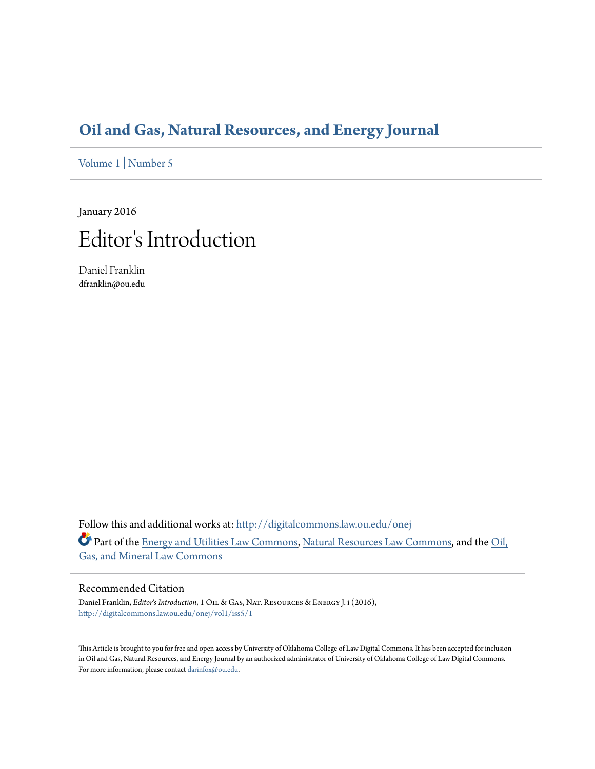### **[Oil and Gas, Natural Resources, and Energy Journal](http://digitalcommons.law.ou.edu/onej?utm_source=digitalcommons.law.ou.edu%2Fonej%2Fvol1%2Fiss5%2F1&utm_medium=PDF&utm_campaign=PDFCoverPages)**

[Volume 1](http://digitalcommons.law.ou.edu/onej/vol1?utm_source=digitalcommons.law.ou.edu%2Fonej%2Fvol1%2Fiss5%2F1&utm_medium=PDF&utm_campaign=PDFCoverPages) | [Number 5](http://digitalcommons.law.ou.edu/onej/vol1/iss5?utm_source=digitalcommons.law.ou.edu%2Fonej%2Fvol1%2Fiss5%2F1&utm_medium=PDF&utm_campaign=PDFCoverPages)

January 2016

## Editor 's Introduction

Daniel Franklin dfranklin@ou.edu

Follow this and additional works at: [http://digitalcommons.law.ou.edu/onej](http://digitalcommons.law.ou.edu/onej?utm_source=digitalcommons.law.ou.edu%2Fonej%2Fvol1%2Fiss5%2F1&utm_medium=PDF&utm_campaign=PDFCoverPages) Part of the [Energy and Utilities Law Commons,](http://network.bepress.com/hgg/discipline/891?utm_source=digitalcommons.law.ou.edu%2Fonej%2Fvol1%2Fiss5%2F1&utm_medium=PDF&utm_campaign=PDFCoverPages) [Natural Resources Law Commons,](http://network.bepress.com/hgg/discipline/863?utm_source=digitalcommons.law.ou.edu%2Fonej%2Fvol1%2Fiss5%2F1&utm_medium=PDF&utm_campaign=PDFCoverPages) and the [Oil,](http://network.bepress.com/hgg/discipline/864?utm_source=digitalcommons.law.ou.edu%2Fonej%2Fvol1%2Fiss5%2F1&utm_medium=PDF&utm_campaign=PDFCoverPages) [Gas, and Mineral Law Commons](http://network.bepress.com/hgg/discipline/864?utm_source=digitalcommons.law.ou.edu%2Fonej%2Fvol1%2Fiss5%2F1&utm_medium=PDF&utm_campaign=PDFCoverPages)

#### Recommended Citation

Daniel Franklin, *Editor's Introduction*, 1 Oil & Gas, Nat. Resources & Energy J. i (2016), [http://digitalcommons.law.ou.edu/onej/vol1/iss5/1](http://digitalcommons.law.ou.edu/onej/vol1/iss5/1?utm_source=digitalcommons.law.ou.edu%2Fonej%2Fvol1%2Fiss5%2F1&utm_medium=PDF&utm_campaign=PDFCoverPages)

This Article is brought to you for free and open access by University of Oklahoma College of Law Digital Commons. It has been accepted for inclusion in Oil and Gas, Natural Resources, and Energy Journal by an authorized administrator of University of Oklahoma College of Law Digital Commons. For more information, please contact [darinfox@ou.edu](mailto:darinfox@ou.edu).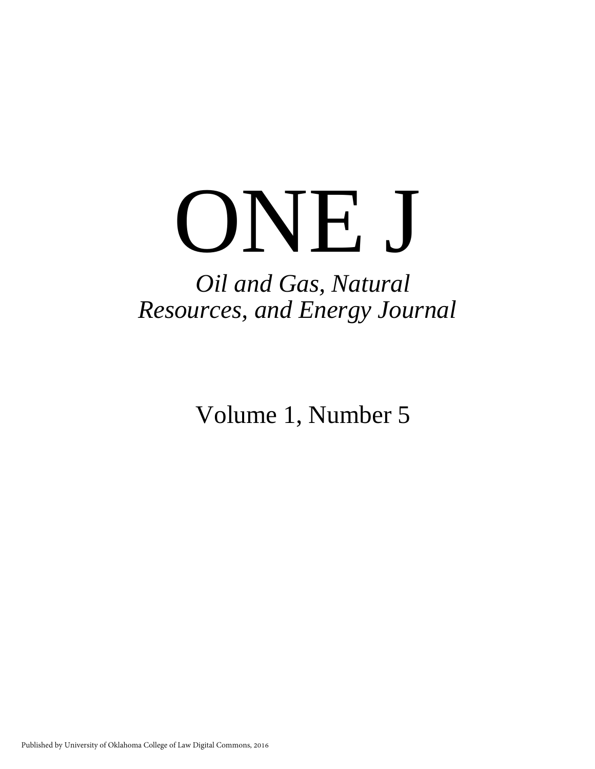# ONE J

## *Oil and Gas, Natural Resources, and Energy Journal*

Volume 1, Number 5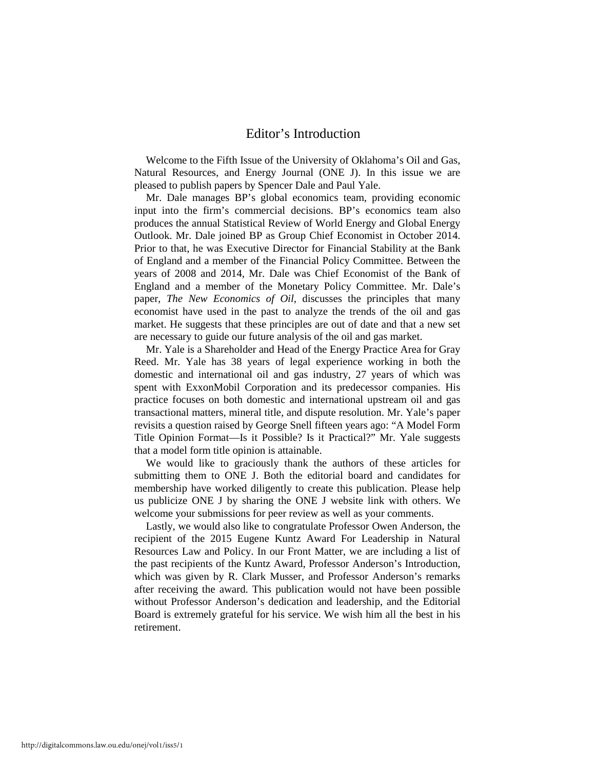#### Editor's Introduction

Welcome to the Fifth Issue of the University of Oklahoma's Oil and Gas, Natural Resources, and Energy Journal (ONE J). In this issue we are pleased to publish papers by Spencer Dale and Paul Yale.

Mr. Dale manages BP's global economics team, providing economic input into the firm's commercial decisions. BP's economics team also produces the annual Statistical Review of World Energy and Global Energy Outlook. Mr. Dale joined BP as Group Chief Economist in October 2014. Prior to that, he was Executive Director for Financial Stability at the Bank of England and a member of the Financial Policy Committee. Between the years of 2008 and 2014, Mr. Dale was Chief Economist of the Bank of England and a member of the Monetary Policy Committee. Mr. Dale's paper, *The New Economics of Oil*, discusses the principles that many economist have used in the past to analyze the trends of the oil and gas market. He suggests that these principles are out of date and that a new set are necessary to guide our future analysis of the oil and gas market.

Mr. Yale is a Shareholder and Head of the Energy Practice Area for Gray Reed. Mr. Yale has 38 years of legal experience working in both the domestic and international oil and gas industry, 27 years of which was spent with ExxonMobil Corporation and its predecessor companies. His practice focuses on both domestic and international upstream oil and gas transactional matters, mineral title, and dispute resolution. Mr. Yale's paper revisits a question raised by George Snell fifteen years ago: "A Model Form Title Opinion Format—Is it Possible? Is it Practical?" Mr. Yale suggests that a model form title opinion is attainable.

We would like to graciously thank the authors of these articles for submitting them to ONE J. Both the editorial board and candidates for membership have worked diligently to create this publication. Please help us publicize ONE J by sharing the ONE J website link with others. We welcome your submissions for peer review as well as your comments.

Lastly, we would also like to congratulate Professor Owen Anderson, the recipient of the 2015 Eugene Kuntz Award For Leadership in Natural Resources Law and Policy. In our Front Matter, we are including a list of the past recipients of the Kuntz Award, Professor Anderson's Introduction, which was given by R. Clark Musser, and Professor Anderson's remarks after receiving the award. This publication would not have been possible without Professor Anderson's dedication and leadership, and the Editorial Board is extremely grateful for his service. We wish him all the best in his retirement.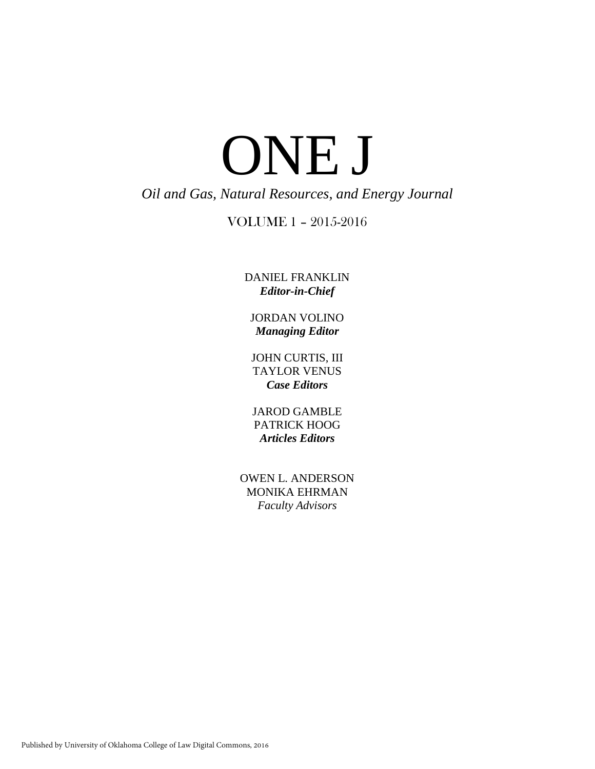## ONE J *Oil and Gas, Natural Resources, and Energy Journal*

#### VOLUME 1 – 2015-2016

DANIEL FRANKLIN *Editor-in-Chief*

JORDAN VOLINO *Managing Editor*

JOHN CURTIS, III TAYLOR VENUS *Case Editors*

JAROD GAMBLE PATRICK HOOG *Articles Editors*

OWEN L. ANDERSON MONIKA EHRMAN *Faculty Advisors*

Published by University of Oklahoma College of Law Digital Commons, 2016